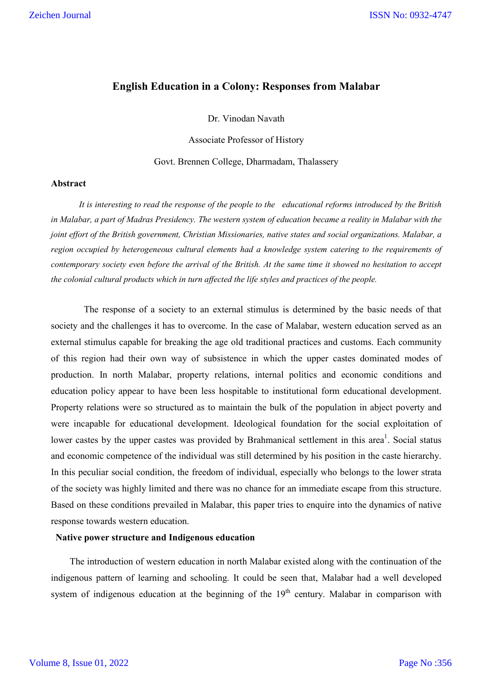# **English Education in a Colony: Responses from Malabar**

Dr. Vinodan Navath

Associate Professor of History

Govt. Brennen College, Dharmadam, Thalassery

#### **Abstract**

 *It is interesting to read the response of the people to the educational reforms introduced by the British*  in Malabar, a part of Madras Presidency. The western system of education became a reality in Malabar with the *joint effort of the British government, Christian Missionaries, native states and social organizations. Malabar, a region occupied by heterogeneous cultural elements had a knowledge system catering to the requirements of contemporary society even before the arrival of the British. At the same time it showed no hesitation to accept the colonial cultural products which in turn affected the life styles and practices of the people.*

 The response of a society to an external stimulus is determined by the basic needs of that society and the challenges it has to overcome. In the case of Malabar, western education served as an external stimulus capable for breaking the age old traditional practices and customs. Each community of this region had their own way of subsistence in which the upper castes dominated modes of production. In north Malabar, property relations, internal politics and economic conditions and education policy appear to have been less hospitable to institutional form educational development. Property relations were so structured as to maintain the bulk of the population in abject poverty and were incapable for educational development. Ideological foundation for the social exploitation of lower castes by the upper castes was provided by Brahmanical settlement in this area<sup>1</sup>. Social status and economic competence of the individual was still determined by his position in the caste hierarchy. In this peculiar social condition, the freedom of individual, especially who belongs to the lower strata of the society was highly limited and there was no chance for an immediate escape from this structure. Based on these conditions prevailed in Malabar, this paper tries to enquire into the dynamics of native response towards western education.

## **Native power structure and Indigenous education**

 The introduction of western education in north Malabar existed along with the continuation of the indigenous pattern of learning and schooling. It could be seen that, Malabar had a well developed system of indigenous education at the beginning of the  $19<sup>th</sup>$  century. Malabar in comparison with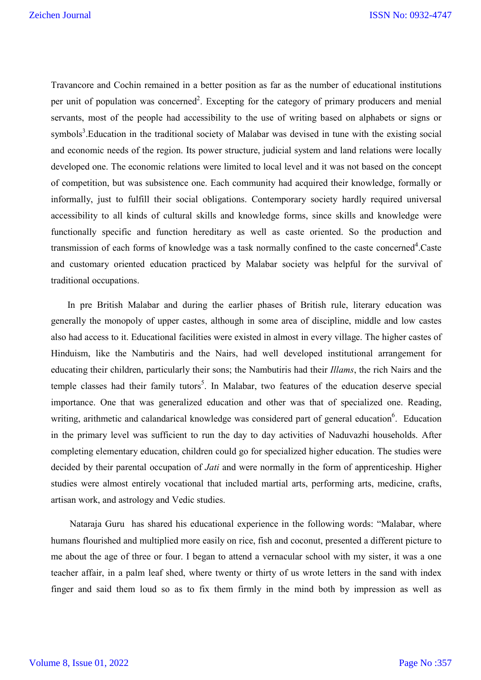Travancore and Cochin remained in a better position as far as the number of educational institutions per unit of population was concerned<sup>2</sup>. Excepting for the category of primary producers and menial servants, most of the people had accessibility to the use of writing based on alphabets or signs or symbols<sup>3</sup>. Education in the traditional society of Malabar was devised in tune with the existing social and economic needs of the region. Its power structure, judicial system and land relations were locally developed one. The economic relations were limited to local level and it was not based on the concept of competition, but was subsistence one. Each community had acquired their knowledge, formally or informally, just to fulfill their social obligations. Contemporary society hardly required universal accessibility to all kinds of cultural skills and knowledge forms, since skills and knowledge were functionally specific and function hereditary as well as caste oriented. So the production and transmission of each forms of knowledge was a task normally confined to the caste concerned<sup>4</sup>.Caste and customary oriented education practiced by Malabar society was helpful for the survival of traditional occupations.

 In pre British Malabar and during the earlier phases of British rule, literary education was generally the monopoly of upper castes, although in some area of discipline, middle and low castes also had access to it. Educational facilities were existed in almost in every village. The higher castes of Hinduism, like the Nambutiris and the Nairs, had well developed institutional arrangement for educating their children, particularly their sons; the Nambutiris had their *Illams*, the rich Nairs and the temple classes had their family tutors<sup>5</sup>. In Malabar, two features of the education deserve special importance. One that was generalized education and other was that of specialized one. Reading, writing, arithmetic and calandarical knowledge was considered part of general education<sup>6</sup>. Education in the primary level was sufficient to run the day to day activities of Naduvazhi households. After completing elementary education, children could go for specialized higher education. The studies were decided by their parental occupation of *Jati* and were normally in the form of apprenticeship. Higher studies were almost entirely vocational that included martial arts, performing arts, medicine, crafts, artisan work, and astrology and Vedic studies.

 Nataraja Guru has shared his educational experience in the following words: "Malabar, where humans flourished and multiplied more easily on rice, fish and coconut, presented a different picture to me about the age of three or four. I began to attend a vernacular school with my sister, it was a one teacher affair, in a palm leaf shed, where twenty or thirty of us wrote letters in the sand with index finger and said them loud so as to fix them firmly in the mind both by impression as well as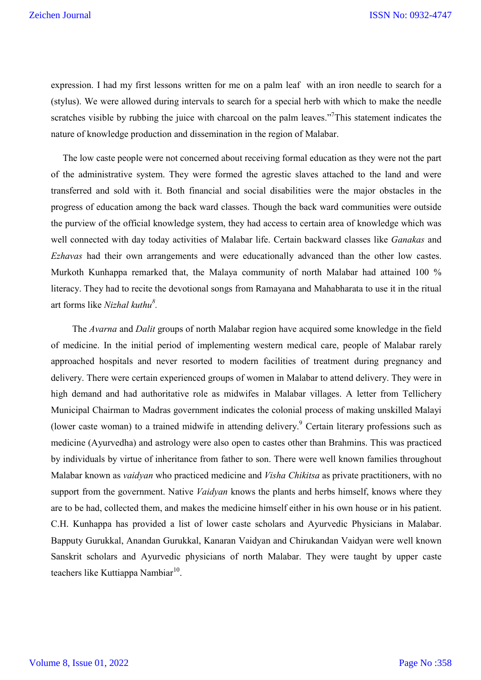expression. I had my first lessons written for me on a palm leaf with an iron needle to search for a (stylus). We were allowed during intervals to search for a special herb with which to make the needle scratches visible by rubbing the juice with charcoal on the palm leaves."<sup>7</sup>This statement indicates the nature of knowledge production and dissemination in the region of Malabar.

 The low caste people were not concerned about receiving formal education as they were not the part of the administrative system. They were formed the agrestic slaves attached to the land and were transferred and sold with it. Both financial and social disabilities were the major obstacles in the progress of education among the back ward classes. Though the back ward communities were outside the purview of the official knowledge system, they had access to certain area of knowledge which was well connected with day today activities of Malabar life. Certain backward classes like *Ganakas* and *Ezhavas* had their own arrangements and were educationally advanced than the other low castes. Murkoth Kunhappa remarked that, the Malaya community of north Malabar had attained 100 % literacy. They had to recite the devotional songs from Ramayana and Mahabharata to use it in the ritual art forms like *Nizhal kuthu<sup>8</sup> .*

The *Avarna* and *Dalit* groups of north Malabar region have acquired some knowledge in the field of medicine. In the initial period of implementing western medical care, people of Malabar rarely approached hospitals and never resorted to modern facilities of treatment during pregnancy and delivery. There were certain experienced groups of women in Malabar to attend delivery. They were in high demand and had authoritative role as midwifes in Malabar villages. A letter from Tellichery Municipal Chairman to Madras government indicates the colonial process of making unskilled Malayi (lower caste woman) to a trained midwife in attending delivery. <sup>9</sup> Certain literary professions such as medicine (Ayurvedha) and astrology were also open to castes other than Brahmins. This was practiced by individuals by virtue of inheritance from father to son. There were well known families throughout Malabar known as *vaidyan* who practiced medicine and *Visha Chikitsa* as private practitioners, with no support from the government. Native *Vaidyan* knows the plants and herbs himself, knows where they are to be had, collected them, and makes the medicine himself either in his own house or in his patient. C.H. Kunhappa has provided a list of lower caste scholars and Ayurvedic Physicians in Malabar. Bapputy Gurukkal, Anandan Gurukkal, Kanaran Vaidyan and Chirukandan Vaidyan were well known Sanskrit scholars and Ayurvedic physicians of north Malabar. They were taught by upper caste teachers like Kuttiappa Nambiar $^{10}$ .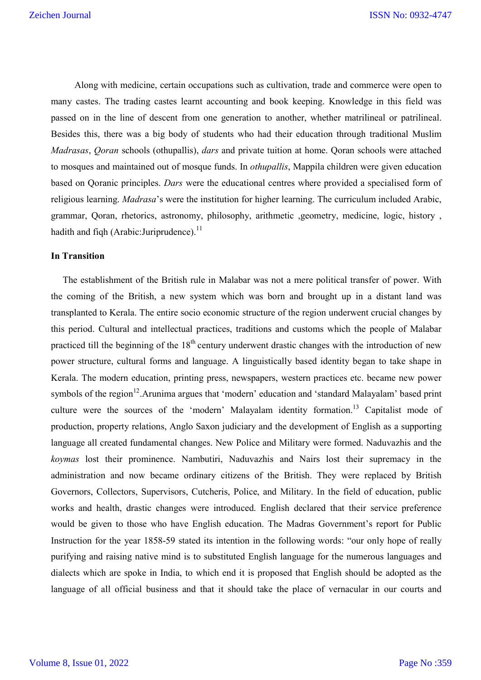Along with medicine, certain occupations such as cultivation, trade and commerce were open to many castes. The trading castes learnt accounting and book keeping. Knowledge in this field was passed on in the line of descent from one generation to another, whether matrilineal or patrilineal. Besides this, there was a big body of students who had their education through traditional Muslim *Madrasas*, *Qoran* schools (othupallis), *dars* and private tuition at home. Qoran schools were attached to mosques and maintained out of mosque funds. In *othupallis*, Mappila children were given education based on Qoranic principles. *Dars* were the educational centres where provided a specialised form of religious learning. *Madrasa*'s were the institution for higher learning. The curriculum included Arabic, grammar, Qoran, rhetorics, astronomy, philosophy, arithmetic ,geometry, medicine, logic, history , hadith and fiqh (Arabic: Juriprudence).<sup>11</sup>

### **In Transition**

 The establishment of the British rule in Malabar was not a mere political transfer of power. With the coming of the British, a new system which was born and brought up in a distant land was transplanted to Kerala. The entire socio economic structure of the region underwent crucial changes by this period. Cultural and intellectual practices, traditions and customs which the people of Malabar practiced till the beginning of the  $18<sup>th</sup>$  century underwent drastic changes with the introduction of new power structure, cultural forms and language. A linguistically based identity began to take shape in Kerala. The modern education, printing press, newspapers, western practices etc. became new power symbols of the region<sup>12</sup>. Arunima argues that 'modern' education and 'standard Malayalam' based print culture were the sources of the 'modern' Malayalam identity formation.<sup>13</sup> Capitalist mode of production, property relations, Anglo Saxon judiciary and the development of English as a supporting language all created fundamental changes. New Police and Military were formed. Naduvazhis and the *koymas* lost their prominence. Nambutiri, Naduvazhis and Nairs lost their supremacy in the administration and now became ordinary citizens of the British. They were replaced by British Governors, Collectors, Supervisors, Cutcheris, Police, and Military. In the field of education, public works and health, drastic changes were introduced. English declared that their service preference would be given to those who have English education. The Madras Government's report for Public Instruction for the year 1858-59 stated its intention in the following words: "our only hope of really purifying and raising native mind is to substituted English language for the numerous languages and dialects which are spoke in India, to which end it is proposed that English should be adopted as the language of all official business and that it should take the place of vernacular in our courts and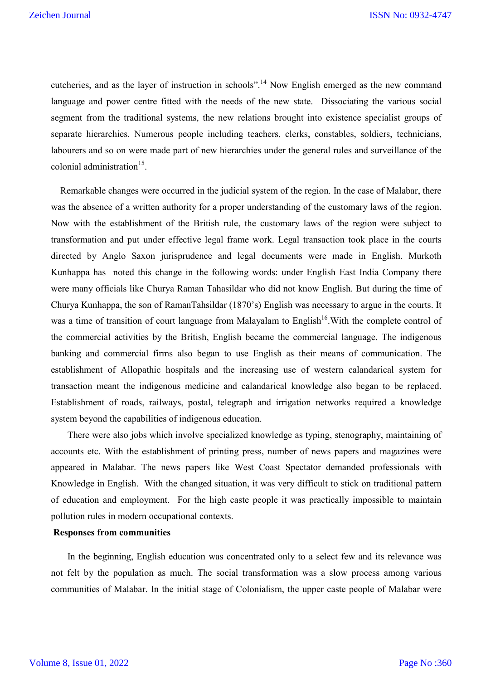cutcheries, and as the layer of instruction in schools".<sup>14</sup> Now English emerged as the new command language and power centre fitted with the needs of the new state. Dissociating the various social segment from the traditional systems, the new relations brought into existence specialist groups of separate hierarchies. Numerous people including teachers, clerks, constables, soldiers, technicians, labourers and so on were made part of new hierarchies under the general rules and surveillance of the colonial administration $^{15}$ .

 Remarkable changes were occurred in the judicial system of the region. In the case of Malabar, there was the absence of a written authority for a proper understanding of the customary laws of the region. Now with the establishment of the British rule, the customary laws of the region were subject to transformation and put under effective legal frame work. Legal transaction took place in the courts directed by Anglo Saxon jurisprudence and legal documents were made in English. Murkoth Kunhappa has noted this change in the following words: under English East India Company there were many officials like Churya Raman Tahasildar who did not know English. But during the time of Churya Kunhappa, the son of RamanTahsildar (1870's) English was necessary to argue in the courts. It was a time of transition of court language from Malayalam to English<sup>16</sup>. With the complete control of the commercial activities by the British, English became the commercial language. The indigenous banking and commercial firms also began to use English as their means of communication. The establishment of Allopathic hospitals and the increasing use of western calandarical system for transaction meant the indigenous medicine and calandarical knowledge also began to be replaced. Establishment of roads, railways, postal, telegraph and irrigation networks required a knowledge system beyond the capabilities of indigenous education.

 There were also jobs which involve specialized knowledge as typing, stenography, maintaining of accounts etc. With the establishment of printing press, number of news papers and magazines were appeared in Malabar. The news papers like West Coast Spectator demanded professionals with Knowledge in English. With the changed situation, it was very difficult to stick on traditional pattern of education and employment. For the high caste people it was practically impossible to maintain pollution rules in modern occupational contexts.

#### **Responses from communities**

 In the beginning, English education was concentrated only to a select few and its relevance was not felt by the population as much. The social transformation was a slow process among various communities of Malabar. In the initial stage of Colonialism, the upper caste people of Malabar were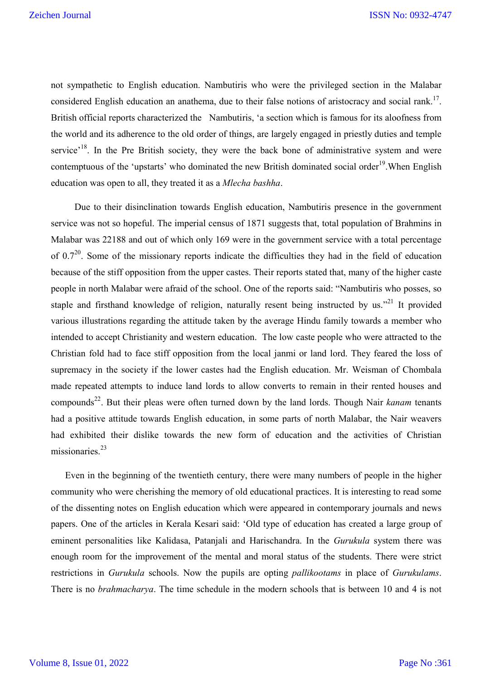not sympathetic to English education. Nambutiris who were the privileged section in the Malabar considered English education an anathema, due to their false notions of aristocracy and social rank.<sup>17</sup>. British official reports characterized the Nambutiris, 'a section which is famous for its aloofness from the world and its adherence to the old order of things, are largely engaged in priestly duties and temple service<sup>, 18</sup>. In the Pre British society, they were the back bone of administrative system and were contemptuous of the 'upstarts' who dominated the new British dominated social order<sup>19</sup>. When English education was open to all, they treated it as a *Mlecha bashha*.

 Due to their disinclination towards English education, Nambutiris presence in the government service was not so hopeful. The imperial census of 1871 suggests that, total population of Brahmins in Malabar was 22188 and out of which only 169 were in the government service with a total percentage of  $0.7^{20}$ . Some of the missionary reports indicate the difficulties they had in the field of education because of the stiff opposition from the upper castes. Their reports stated that, many of the higher caste people in north Malabar were afraid of the school. One of the reports said: "Nambutiris who posses, so staple and firsthand knowledge of religion, naturally resent being instructed by us."<sup>21</sup> It provided various illustrations regarding the attitude taken by the average Hindu family towards a member who intended to accept Christianity and western education. The low caste people who were attracted to the Christian fold had to face stiff opposition from the local janmi or land lord. They feared the loss of supremacy in the society if the lower castes had the English education. Mr. Weisman of Chombala made repeated attempts to induce land lords to allow converts to remain in their rented houses and compounds<sup>22</sup>. But their pleas were often turned down by the land lords. Though Nair *kanam* tenants had a positive attitude towards English education, in some parts of north Malabar, the Nair weavers had exhibited their dislike towards the new form of education and the activities of Christian missionaries. 23

 Even in the beginning of the twentieth century, there were many numbers of people in the higher community who were cherishing the memory of old educational practices. It is interesting to read some of the dissenting notes on English education which were appeared in contemporary journals and news papers. One of the articles in Kerala Kesari said: 'Old type of education has created a large group of eminent personalities like Kalidasa, Patanjali and Harischandra. In the *Gurukula* system there was enough room for the improvement of the mental and moral status of the students. There were strict restrictions in *Gurukula* schools. Now the pupils are opting *pallikootams* in place of *Gurukulams*. There is no *brahmacharya*. The time schedule in the modern schools that is between 10 and 4 is not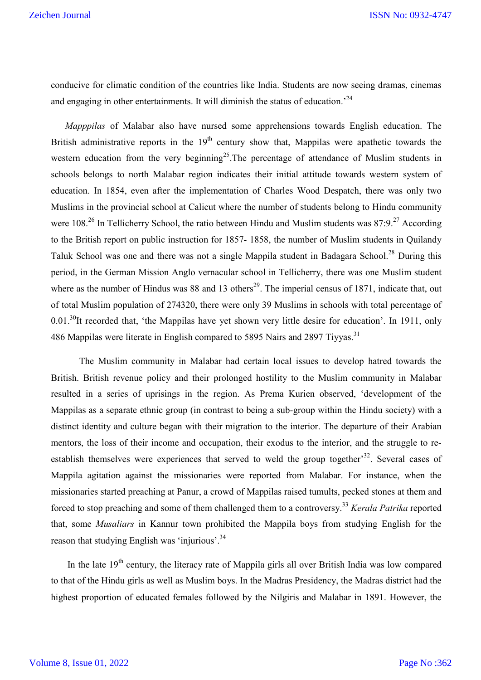conducive for climatic condition of the countries like India. Students are now seeing dramas, cinemas and engaging in other entertainments. It will diminish the status of education.<sup>24</sup>

 *Mapppilas* of Malabar also have nursed some apprehensions towards English education. The British administrative reports in the  $19<sup>th</sup>$  century show that, Mappilas were apathetic towards the western education from the very beginning<sup>25</sup>. The percentage of attendance of Muslim students in schools belongs to north Malabar region indicates their initial attitude towards western system of education. In 1854, even after the implementation of Charles Wood Despatch, there was only two Muslims in the provincial school at Calicut where the number of students belong to Hindu community were 108.<sup>26</sup> In Tellicherry School, the ratio between Hindu and Muslim students was 87:9.<sup>27</sup> According to the British report on public instruction for 1857- 1858, the number of Muslim students in Quilandy Taluk School was one and there was not a single Mappila student in Badagara School.<sup>28</sup> During this period, in the German Mission Anglo vernacular school in Tellicherry, there was one Muslim student where as the number of Hindus was 88 and 13 others<sup>29</sup>. The imperial census of 1871, indicate that, out of total Muslim population of 274320, there were only 39 Muslims in schools with total percentage of 0.01.<sup>30</sup>It recorded that, 'the Mappilas have yet shown very little desire for education'. In 1911, only 486 Mappilas were literate in English compared to 5895 Nairs and 2897 Tiyyas.<sup>31</sup>

 The Muslim community in Malabar had certain local issues to develop hatred towards the British. British revenue policy and their prolonged hostility to the Muslim community in Malabar resulted in a series of uprisings in the region. As Prema Kurien observed, 'development of the Mappilas as a separate ethnic group (in contrast to being a sub-group within the Hindu society) with a distinct identity and culture began with their migration to the interior. The departure of their Arabian mentors, the loss of their income and occupation, their exodus to the interior, and the struggle to reestablish themselves were experiences that served to weld the group together<sup>32</sup>. Several cases of Mappila agitation against the missionaries were reported from Malabar. For instance, when the missionaries started preaching at Panur, a crowd of Mappilas raised tumults, pecked stones at them and forced to stop preaching and some of them challenged them to a controversy.<sup>33</sup> *Kerala Patrika* reported that, some *Musaliars* in Kannur town prohibited the Mappila boys from studying English for the reason that studying English was 'injurious'.<sup>34</sup>

In the late 19<sup>th</sup> century, the literacy rate of Mappila girls all over British India was low compared to that of the Hindu girls as well as Muslim boys. In the Madras Presidency, the Madras district had the highest proportion of educated females followed by the Nilgiris and Malabar in 1891. However, the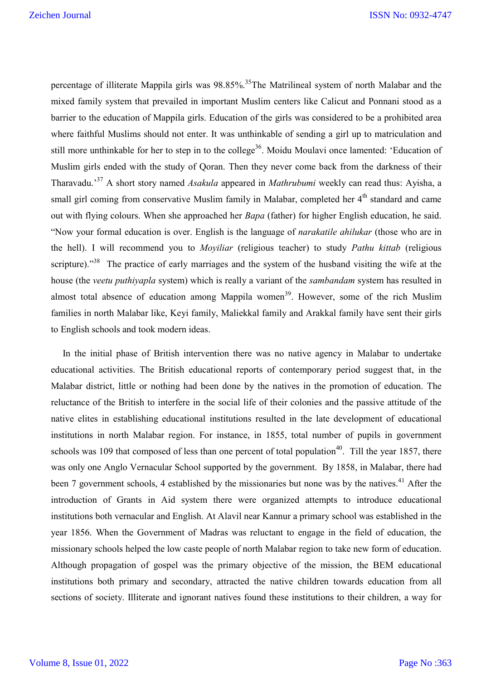percentage of illiterate Mappila girls was 98.85%.<sup>35</sup>The Matrilineal system of north Malabar and the mixed family system that prevailed in important Muslim centers like Calicut and Ponnani stood as a barrier to the education of Mappila girls. Education of the girls was considered to be a prohibited area where faithful Muslims should not enter. It was unthinkable of sending a girl up to matriculation and still more unthinkable for her to step in to the college<sup>36</sup>. Moidu Moulavi once lamented: 'Education of Muslim girls ended with the study of Qoran. Then they never come back from the darkness of their Tharavadu.' <sup>37</sup> A short story named *Asakula* appeared in *Mathrubumi* weekly can read thus: Ayisha, a small girl coming from conservative Muslim family in Malabar, completed her  $4<sup>th</sup>$  standard and came out with flying colours. When she approached her *Bapa* (father) for higher English education, he said. "Now your formal education is over. English is the language of *narakatile ahilukar* (those who are in the hell). I will recommend you to *Moyiliar* (religious teacher) to study *Pathu kittab* (religious scripture)."<sup>38</sup> The practice of early marriages and the system of the husband visiting the wife at the house (the *veetu puthiyapla* system) which is really a variant of the *sambandam* system has resulted in almost total absence of education among Mappila women<sup>39</sup>. However, some of the rich Muslim families in north Malabar like, Keyi family, Maliekkal family and Arakkal family have sent their girls to English schools and took modern ideas.

 In the initial phase of British intervention there was no native agency in Malabar to undertake educational activities. The British educational reports of contemporary period suggest that, in the Malabar district, little or nothing had been done by the natives in the promotion of education. The reluctance of the British to interfere in the social life of their colonies and the passive attitude of the native elites in establishing educational institutions resulted in the late development of educational institutions in north Malabar region. For instance, in 1855, total number of pupils in government schools was 109 that composed of less than one percent of total population<sup>40</sup>. Till the year 1857, there was only one Anglo Vernacular School supported by the government. By 1858, in Malabar, there had been 7 government schools, 4 established by the missionaries but none was by the natives.<sup>41</sup> After the introduction of Grants in Aid system there were organized attempts to introduce educational institutions both vernacular and English. At Alavil near Kannur a primary school was established in the year 1856. When the Government of Madras was reluctant to engage in the field of education, the missionary schools helped the low caste people of north Malabar region to take new form of education. Although propagation of gospel was the primary objective of the mission, the BEM educational institutions both primary and secondary, attracted the native children towards education from all sections of society. Illiterate and ignorant natives found these institutions to their children, a way for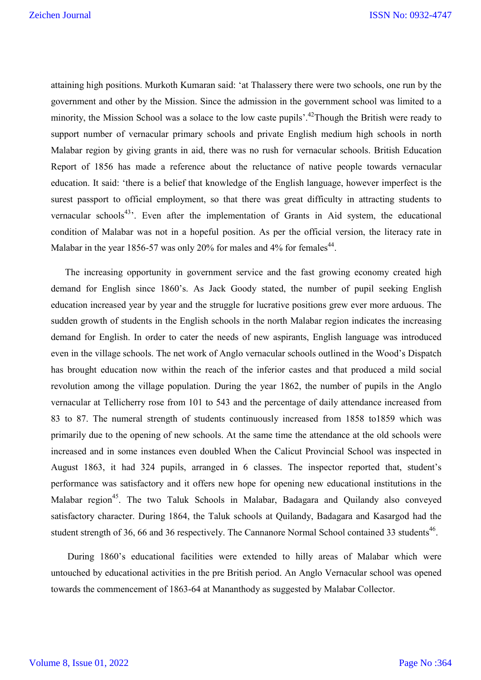attaining high positions. Murkoth Kumaran said: 'at Thalassery there were two schools, one run by the government and other by the Mission. Since the admission in the government school was limited to a minority, the Mission School was a solace to the low caste pupils'.<sup>42</sup>Though the British were ready to support number of vernacular primary schools and private English medium high schools in north Malabar region by giving grants in aid, there was no rush for vernacular schools. British Education Report of 1856 has made a reference about the reluctance of native people towards vernacular education. It said: 'there is a belief that knowledge of the English language, however imperfect is the surest passport to official employment, so that there was great difficulty in attracting students to vernacular schools<sup>43</sup>. Even after the implementation of Grants in Aid system, the educational condition of Malabar was not in a hopeful position. As per the official version, the literacy rate in Malabar in the year 1856-57 was only 20% for males and 4% for females<sup>44</sup>.

 The increasing opportunity in government service and the fast growing economy created high demand for English since 1860's. As Jack Goody stated, the number of pupil seeking English education increased year by year and the struggle for lucrative positions grew ever more arduous. The sudden growth of students in the English schools in the north Malabar region indicates the increasing demand for English. In order to cater the needs of new aspirants, English language was introduced even in the village schools. The net work of Anglo vernacular schools outlined in the Wood's Dispatch has brought education now within the reach of the inferior castes and that produced a mild social revolution among the village population. During the year 1862, the number of pupils in the Anglo vernacular at Tellicherry rose from 101 to 543 and the percentage of daily attendance increased from 83 to 87. The numeral strength of students continuously increased from 1858 to1859 which was primarily due to the opening of new schools. At the same time the attendance at the old schools were increased and in some instances even doubled When the Calicut Provincial School was inspected in August 1863, it had 324 pupils, arranged in 6 classes. The inspector reported that, student's performance was satisfactory and it offers new hope for opening new educational institutions in the Malabar region<sup>45</sup>. The two Taluk Schools in Malabar, Badagara and Quilandy also conveyed satisfactory character. During 1864, the Taluk schools at Quilandy, Badagara and Kasargod had the student strength of 36, 66 and 36 respectively. The Cannanore Normal School contained 33 students<sup>46</sup>.

 During 1860's educational facilities were extended to hilly areas of Malabar which were untouched by educational activities in the pre British period. An Anglo Vernacular school was opened towards the commencement of 1863-64 at Mananthody as suggested by Malabar Collector.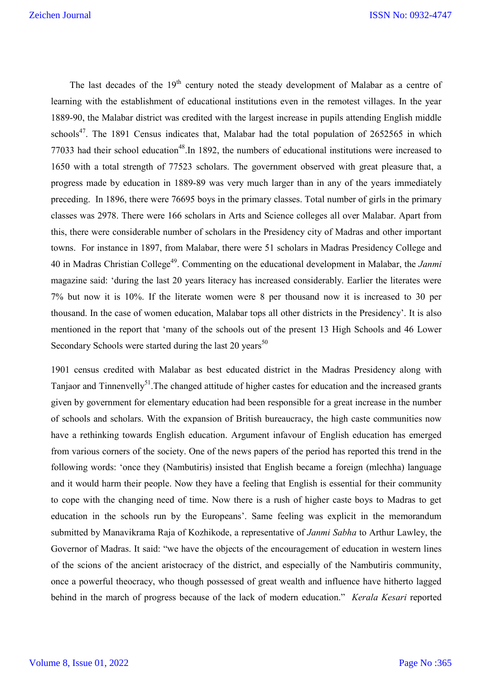The last decades of the  $19<sup>th</sup>$  century noted the steady development of Malabar as a centre of learning with the establishment of educational institutions even in the remotest villages. In the year 1889-90, the Malabar district was credited with the largest increase in pupils attending English middle schools<sup>47</sup>. The 1891 Census indicates that, Malabar had the total population of  $2652565$  in which 77033 had their school education<sup>48</sup>. In 1892, the numbers of educational institutions were increased to 1650 with a total strength of 77523 scholars. The government observed with great pleasure that, a progress made by education in 1889-89 was very much larger than in any of the years immediately preceding. In 1896, there were 76695 boys in the primary classes. Total number of girls in the primary classes was 2978. There were 166 scholars in Arts and Science colleges all over Malabar. Apart from this, there were considerable number of scholars in the Presidency city of Madras and other important towns. For instance in 1897, from Malabar, there were 51 scholars in Madras Presidency College and 40 in Madras Christian College49. Commenting on the educational development in Malabar, the *Janmi* magazine said: 'during the last 20 years literacy has increased considerably. Earlier the literates were 7% but now it is 10%. If the literate women were 8 per thousand now it is increased to 30 per thousand. In the case of women education, Malabar tops all other districts in the Presidency'. It is also mentioned in the report that 'many of the schools out of the present 13 High Schools and 46 Lower Secondary Schools were started during the last  $20$  years<sup>50</sup>

1901 census credited with Malabar as best educated district in the Madras Presidency along with Tanjaor and Tinnenvelly<sup>51</sup>. The changed attitude of higher castes for education and the increased grants given by government for elementary education had been responsible for a great increase in the number of schools and scholars. With the expansion of British bureaucracy, the high caste communities now have a rethinking towards English education. Argument infavour of English education has emerged from various corners of the society. One of the news papers of the period has reported this trend in the following words: 'once they (Nambutiris) insisted that English became a foreign (mlechha) language and it would harm their people. Now they have a feeling that English is essential for their community to cope with the changing need of time. Now there is a rush of higher caste boys to Madras to get education in the schools run by the Europeans'. Same feeling was explicit in the memorandum submitted by Manavikrama Raja of Kozhikode, a representative of *Janmi Sabha* to Arthur Lawley, the Governor of Madras. It said: "we have the objects of the encouragement of education in western lines of the scions of the ancient aristocracy of the district, and especially of the Nambutiris community, once a powerful theocracy, who though possessed of great wealth and influence have hitherto lagged behind in the march of progress because of the lack of modern education." *Kerala Kesari* reported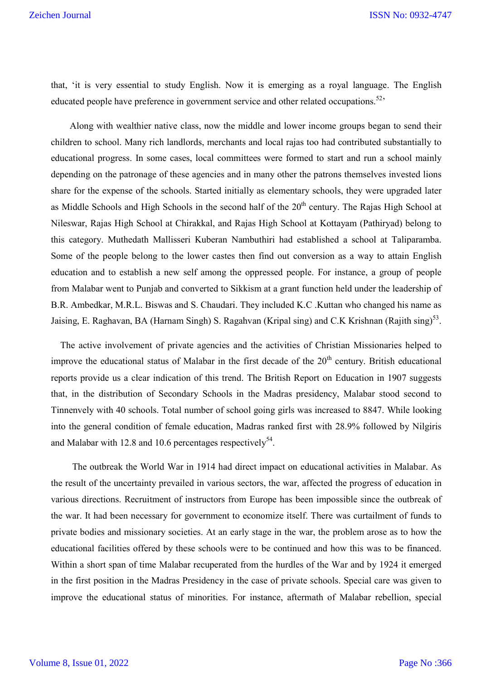that, 'it is very essential to study English. Now it is emerging as a royal language. The English educated people have preference in government service and other related occupations.<sup>52,</sup>

 Along with wealthier native class, now the middle and lower income groups began to send their children to school. Many rich landlords, merchants and local rajas too had contributed substantially to educational progress. In some cases, local committees were formed to start and run a school mainly depending on the patronage of these agencies and in many other the patrons themselves invested lions share for the expense of the schools. Started initially as elementary schools, they were upgraded later as Middle Schools and High Schools in the second half of the  $20<sup>th</sup>$  century. The Rajas High School at Nileswar, Rajas High School at Chirakkal, and Rajas High School at Kottayam (Pathiryad) belong to this category. Muthedath Mallisseri Kuberan Nambuthiri had established a school at Taliparamba. Some of the people belong to the lower castes then find out conversion as a way to attain English education and to establish a new self among the oppressed people. For instance, a group of people from Malabar went to Punjab and converted to Sikkism at a grant function held under the leadership of B.R. Ambedkar, M.R.L. Biswas and S. Chaudari. They included K.C .Kuttan who changed his name as Jaising, E. Raghavan, BA (Harnam Singh) S. Ragahvan (Kripal sing) and C.K Krishnan (Rajith sing)<sup>53</sup>.

 The active involvement of private agencies and the activities of Christian Missionaries helped to improve the educational status of Malabar in the first decade of the  $20<sup>th</sup>$  century. British educational reports provide us a clear indication of this trend. The British Report on Education in 1907 suggests that, in the distribution of Secondary Schools in the Madras presidency, Malabar stood second to Tinnenvely with 40 schools. Total number of school going girls was increased to 8847. While looking into the general condition of female education, Madras ranked first with 28.9% followed by Nilgiris and Malabar with 12.8 and 10.6 percentages respectively<sup>54</sup>.

 The outbreak the World War in 1914 had direct impact on educational activities in Malabar. As the result of the uncertainty prevailed in various sectors, the war, affected the progress of education in various directions. Recruitment of instructors from Europe has been impossible since the outbreak of the war. It had been necessary for government to economize itself. There was curtailment of funds to private bodies and missionary societies. At an early stage in the war, the problem arose as to how the educational facilities offered by these schools were to be continued and how this was to be financed. Within a short span of time Malabar recuperated from the hurdles of the War and by 1924 it emerged in the first position in the Madras Presidency in the case of private schools. Special care was given to improve the educational status of minorities. For instance, aftermath of Malabar rebellion, special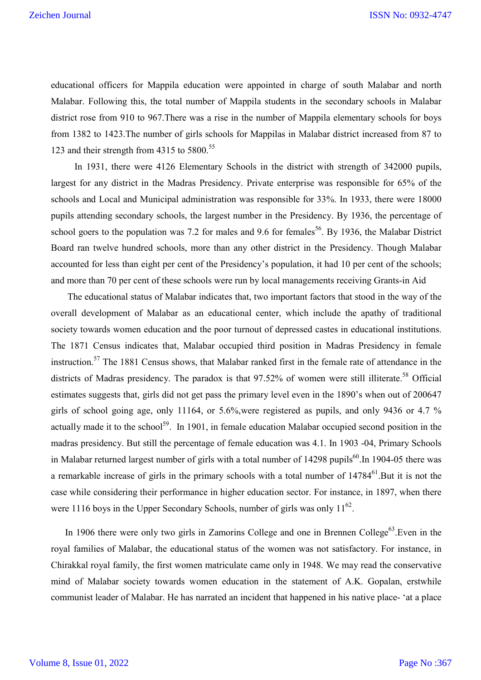educational officers for Mappila education were appointed in charge of south Malabar and north Malabar. Following this, the total number of Mappila students in the secondary schools in Malabar district rose from 910 to 967.There was a rise in the number of Mappila elementary schools for boys from 1382 to 1423.The number of girls schools for Mappilas in Malabar district increased from 87 to 123 and their strength from  $4315$  to  $5800$ .<sup>55</sup>

 In 1931, there were 4126 Elementary Schools in the district with strength of 342000 pupils, largest for any district in the Madras Presidency. Private enterprise was responsible for 65% of the schools and Local and Municipal administration was responsible for 33%. In 1933, there were 18000 pupils attending secondary schools, the largest number in the Presidency. By 1936, the percentage of school goers to the population was 7.2 for males and 9.6 for females  $56$ . By 1936, the Malabar District Board ran twelve hundred schools, more than any other district in the Presidency. Though Malabar accounted for less than eight per cent of the Presidency's population, it had 10 per cent of the schools; and more than 70 per cent of these schools were run by local managements receiving Grants-in Aid

 The educational status of Malabar indicates that, two important factors that stood in the way of the overall development of Malabar as an educational center, which include the apathy of traditional society towards women education and the poor turnout of depressed castes in educational institutions. The 1871 Census indicates that, Malabar occupied third position in Madras Presidency in female instruction.<sup>57</sup> The 1881 Census shows, that Malabar ranked first in the female rate of attendance in the districts of Madras presidency. The paradox is that 97.52% of women were still illiterate.<sup>58</sup> Official estimates suggests that, girls did not get pass the primary level even in the 1890's when out of 200647 girls of school going age, only 11164, or  $5.6\%$ , were registered as pupils, and only 9436 or 4.7 % actually made it to the school<sup>59</sup>. In 1901, in female education Malabar occupied second position in the madras presidency. But still the percentage of female education was 4.1. In 1903 -04, Primary Schools in Malabar returned largest number of girls with a total number of 14298 pupils<sup>60</sup>. In 1904-05 there was a remarkable increase of girls in the primary schools with a total number of  $14784^{61}$ . But it is not the case while considering their performance in higher education sector. For instance, in 1897, when there were 1116 boys in the Upper Secondary Schools, number of girls was only  $11^{62}$ .

In 1906 there were only two girls in Zamorins College and one in Brennen College<sup>63</sup>.Even in the royal families of Malabar, the educational status of the women was not satisfactory. For instance, in Chirakkal royal family, the first women matriculate came only in 1948. We may read the conservative mind of Malabar society towards women education in the statement of A.K. Gopalan, erstwhile communist leader of Malabar. He has narrated an incident that happened in his native place- 'at a place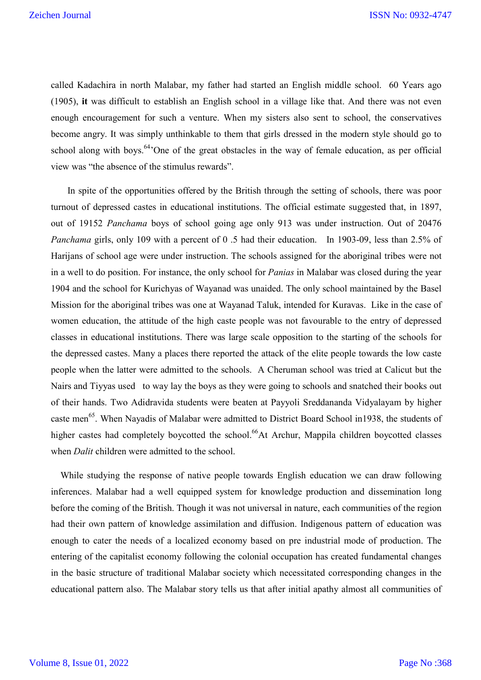called Kadachira in north Malabar, my father had started an English middle school. 60 Years ago (1905), **it** was difficult to establish an English school in a village like that. And there was not even enough encouragement for such a venture. When my sisters also sent to school, the conservatives become angry. It was simply unthinkable to them that girls dressed in the modern style should go to school along with boys.<sup>64</sup>'One of the great obstacles in the way of female education, as per official view was "the absence of the stimulus rewards".

 In spite of the opportunities offered by the British through the setting of schools, there was poor turnout of depressed castes in educational institutions. The official estimate suggested that, in 1897, out of 19152 *Panchama* boys of school going age only 913 was under instruction. Out of 20476 *Panchama* girls, only 109 with a percent of 0 .5 had their education. In 1903-09, less than 2.5% of Harijans of school age were under instruction. The schools assigned for the aboriginal tribes were not in a well to do position. For instance, the only school for *Panias* in Malabar was closed during the year 1904 and the school for Kurichyas of Wayanad was unaided. The only school maintained by the Basel Mission for the aboriginal tribes was one at Wayanad Taluk, intended for Kuravas. Like in the case of women education, the attitude of the high caste people was not favourable to the entry of depressed classes in educational institutions. There was large scale opposition to the starting of the schools for the depressed castes. Many a places there reported the attack of the elite people towards the low caste people when the latter were admitted to the schools. A Cheruman school was tried at Calicut but the Nairs and Tiyyas used to way lay the boys as they were going to schools and snatched their books out of their hands. Two Adidravida students were beaten at Payyoli Sreddananda Vidyalayam by higher caste men<sup>65</sup>. When Nayadis of Malabar were admitted to District Board School in1938, the students of higher castes had completely boycotted the school.<sup>66</sup>At Archur, Mappila children boycotted classes when *Dalit* children were admitted to the school.

 While studying the response of native people towards English education we can draw following inferences. Malabar had a well equipped system for knowledge production and dissemination long before the coming of the British. Though it was not universal in nature, each communities of the region had their own pattern of knowledge assimilation and diffusion. Indigenous pattern of education was enough to cater the needs of a localized economy based on pre industrial mode of production. The entering of the capitalist economy following the colonial occupation has created fundamental changes in the basic structure of traditional Malabar society which necessitated corresponding changes in the educational pattern also. The Malabar story tells us that after initial apathy almost all communities of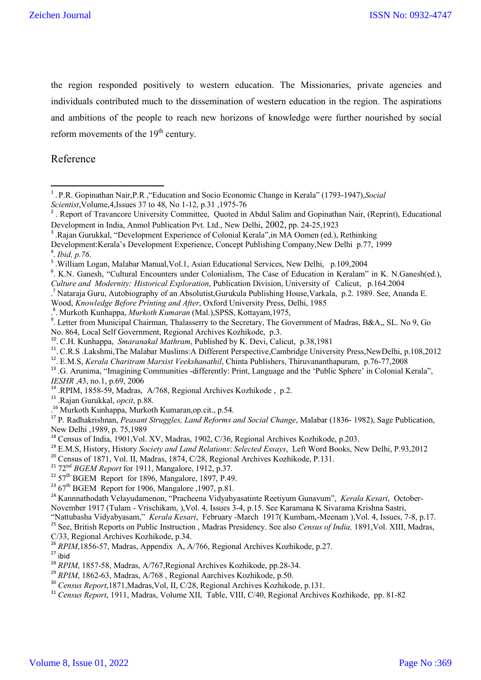the region responded positively to western education. The Missionaries, private agencies and individuals contributed much to the dissemination of western education in the region. The aspirations and ambitions of the people to reach new horizons of knowledge were further nourished by social reform movements of the  $19<sup>th</sup>$  century.

Reference

4 . *Ibid, p.76*.

- <sup>6</sup>. K.N. Ganesh, "Cultural Encounters under Colonialism, The Case of Education in Keralam" in K. N.Ganesh(ed.),
- *Culture and Modernity: Historical Exploration*, Publication Division, University of Calicut, p.164.2004
- . <sup>7</sup> Nataraja Guru, Autobiography of an Absolutist,Gurukula Publishing House,Varkala, p.2. 1989. See, Ananda E.

Wood, *Knowledge Before Printing and After*, Oxford University Press, Delhi, 1985

<sup>8</sup>. Murkoth Kunhappa, *Murkoth Kumaran* (Mal.),SPSS, Kottayam,1975,<br><sup>9</sup>. Letter from Municipal Chairman, Thalasserry to the Secretary, The Government of Madras, B&A,, SL. No 9, Go

No. 864, Local Self Government, Regional Archives Kozhikode, p.3. 10. C.H. Kunhappa, *Smaranakal Mathram*, Published by K. Devi, Calicut, p.38,1981

- 
- <sup>11</sup>. C.R.S .Lakshmi,The Malabar Muslims:A Different Perspective,Cambridge University Press,NewDelhi, p.108,2012
- 12. E.M.S, *Kerala Charitram Marxist Veekshanathil*, Chinta Publishers, Thiruvananthapuram, p.76-77,2008
- <sup>13</sup> .G. Arunima, "Imagining Communities -differently: Print, Language and the 'Public Sphere' in Colonial Kerala", *IESHR*, 43, no.1, p.69, 2006
- <sup>14</sup> .RPIM, 1858-59, Madras, A/768, Regional Archives Kozhikode, p.2.
- <sup>15</sup> .Rajan Gurukkal, *opcit*, p.88.
- . <sup>16</sup> Murkoth Kunhappa, Murkoth Kumaran,op.cit., p.54.

<sup>17</sup> P. Radhakrishnan, *Peasant Struggles, Land Reforms and Social Change*, Malabar (1836- 1982), Sage Publication, New Delhi ,1989, p. 75,1989

- <sup>18</sup> Census of India, 1901, Vol. XV, Madras, 1902, C/36, Regional Archives Kozhikode, p.203.
- <sup>19</sup> E.M.S, History, History *Society and Land Relations*: *Selected Essays*, Left Word Books, New Delhi, P.93,2012
- <sup>20</sup> Census of 1871, Vol. II, Madras, 1874, C/28, Regional Archives Kozhikode, P.131.
- <sup>21</sup> 72<sup>nd</sup> *BGEM Report* for 1911, Mangalore, 1912, p.37.
- $22$  57<sup>th</sup> BGEM Report for 1896, Mangalore, 1897, P.49.
- $2367$ <sup>th</sup> BGEM Report for 1906, Mangalore ,1907, p.81.

<sup>24</sup> Kannnathodath Velayudamenon, "Pracheena Vidyabyasatinte Reetiyum Gunavum", *Kerala Kesari*, October-November 1917 (Tulam - Vrischikam, ),Vol. 4, Issues 3-4, p.15. See Karamana K Sivarama Krishna Sastri,

"Nattubasha Vidyabyasam," *Kerala Kesari*, February -March 1917( Kumbam,-Meenam ),Vol. 4, Issues, 7-8, p.17.

<sup>25</sup> See, British Reports on Public Instruction , Madras Presidency. See also *Census of India,* 1891,Vol. XIII, Madras, C/33, Regional Archives Kozhikode, p.34.

<sup>26</sup> *RPIM*, 1856-57, Madras, Appendix A, A/766, Regional Archives Kozhikode, p.27.<br><sup>27</sup> ibid

- <sup>28</sup> *RPIM*, 1857-58, Madras, A/767, Regional Archives Kozhikode, pp.28-34.
- <sup>29</sup> *RPIM*, 1862-63, Madras, A/768, Regional Aarchives Kozhikode, p.50.
- <sup>30</sup> *Census Report*,1871,Madras,Vol, II, C/28, Regional Archives Kozhikode, p.131.

<sup>&</sup>lt;sup>1</sup>. P.R. Gopinathan Nair, P.R. "Education and Socio Economic Change in Kerala" (1793-1947), *Social Scientist*, Volume, 4, Issues 37 to 48, No 1-12, p.31, 1975-76

<sup>.</sup> Report of Travancore University Committee, Quoted in Abdul Salim and Gopinathan Nair, (Reprint), Educational Development in India, Anmol Publication Pvt. Ltd., New Delhi, 2002, pp. 24-25,1923<br><sup>3</sup> .Rajan Gurukkal, "Development Experience of Colonial Kerala", in MA Oomen (ed.), Rethinking

Development:Kerala's Development Experience, Concept Publishing Company,New Delhi p.77, 1999

<sup>&</sup>lt;sup>5</sup> .William Logan, Malabar Manual, Vol.1, Asian Educational Services, New Delhi, p.109,2004

<sup>31</sup> *Census Report*, 1911, Madras, Volume XII, Table, VIII, C/40, Regional Archives Kozhikode, pp. 81-82